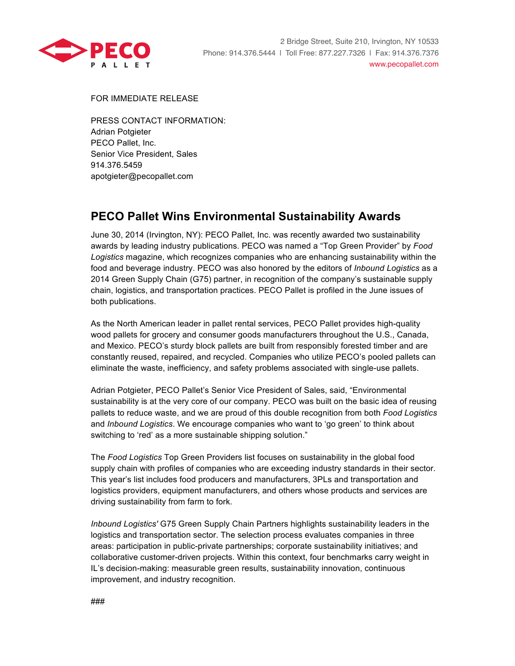

FOR IMMEDIATE RELEASE

PRESS CONTACT INFORMATION: Adrian Potgieter PECO Pallet, Inc. Senior Vice President, Sales 914.376.5459 apotgieter@pecopallet.com

## **PECO Pallet Wins Environmental Sustainability Awards**

June 30, 2014 (Irvington, NY): PECO Pallet, Inc. was recently awarded two sustainability awards by leading industry publications. PECO was named a "Top Green Provider" by *Food Logistics* magazine, which recognizes companies who are enhancing sustainability within the food and beverage industry. PECO was also honored by the editors of *Inbound Logistics* as a 2014 Green Supply Chain (G75) partner, in recognition of the company's sustainable supply chain, logistics, and transportation practices. PECO Pallet is profiled in the June issues of both publications.

As the North American leader in pallet rental services, PECO Pallet provides high-quality wood pallets for grocery and consumer goods manufacturers throughout the U.S., Canada, and Mexico. PECO's sturdy block pallets are built from responsibly forested timber and are constantly reused, repaired, and recycled. Companies who utilize PECO's pooled pallets can eliminate the waste, inefficiency, and safety problems associated with single-use pallets.

Adrian Potgieter, PECO Pallet's Senior Vice President of Sales, said, "Environmental sustainability is at the very core of our company. PECO was built on the basic idea of reusing pallets to reduce waste, and we are proud of this double recognition from both *Food Logistics* and *Inbound Logistics*. We encourage companies who want to 'go green' to think about switching to 'red' as a more sustainable shipping solution."

The *Food Logistics* Top Green Providers list focuses on sustainability in the global food supply chain with profiles of companies who are exceeding industry standards in their sector. This year's list includes food producers and manufacturers, 3PLs and transportation and logistics providers, equipment manufacturers, and others whose products and services are driving sustainability from farm to fork.

*Inbound Logistics'* G75 Green Supply Chain Partners highlights sustainability leaders in the logistics and transportation sector. The selection process evaluates companies in three areas: participation in public-private partnerships; corporate sustainability initiatives; and collaborative customer-driven projects. Within this context, four benchmarks carry weight in IL's decision-making: measurable green results, sustainability innovation, continuous improvement, and industry recognition.